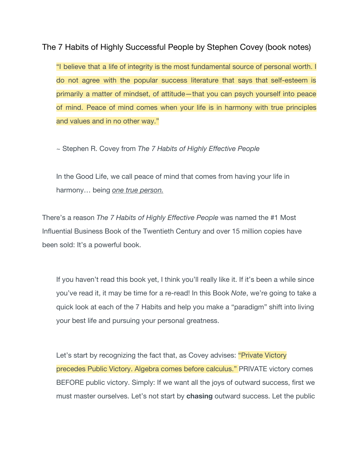The 7 Habits of Highly Successful People by Stephen Covey (book notes)

"I believe that a life of integrity is the most fundamental source of personal worth. I do not agree with the popular success literature that says that self-esteem is primarily a matter of mindset, of attitude—that you can psych yourself into peace of mind. Peace of mind comes when your life is in harmony with true principles and values and in no other way."

~ Stephen R. Covey from *The 7 Habits of Highly Effective People*

In the Good Life, we call peace of mind that comes from having your life in harmony… being *one true person.*

There's a reason *The 7 Habits of Highly Effective People* was named the #1 Most Influential Business Book of the Twentieth Century and over 15 million copies have been sold: It's a powerful book.

If you haven't read this book yet, I think you'll really like it. If it's been a while since you've read it, it may be time for a re-read! In this Book *Note*, we're going to take a quick look at each of the 7 Habits and help you make a "paradigm" shift into living your best life and pursuing your personal greatness.

Let's start by recognizing the fact that, as Covey advises: "Private Victory" precedes Public Victory. Algebra comes before calculus." PRIVATE victory comes BEFORE public victory. Simply: If we want all the joys of outward success, first we must master ourselves. Let's not start by **chasing** outward success. Let the public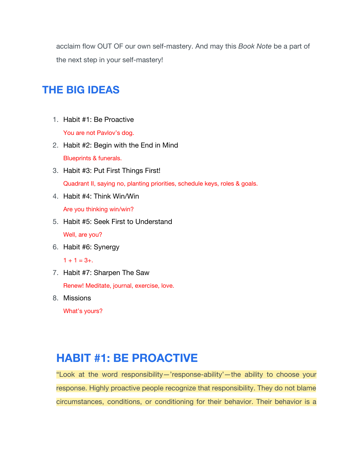acclaim flow OUT OF our own self-mastery. And may this *Book Note* be a part of the next step in your self-mastery!

## **THE BIG IDEAS**

1. Habit #1: Be Proactive

You are not Pavlov's dog.

2. Habit #2: Begin with the End in Mind

Blueprints & funerals.

- 3. Habit #3: Put First Things First! Quadrant II, saying no, planting priorities, schedule keys, roles & goals.
- 4. Habit #4: Think Win/Win Are you thinking win/win?
- 5. Habit #5: Seek First to Understand

Well, are you?

6. Habit #6: Synergy

 $1 + 1 = 3 +$ .

- 7. Habit #7: Sharpen The Saw Renew! Meditate, journal, exercise, love.
- 8. Missions

What's yours?

# **HABIT #1: BE PROACTIVE**

"Look at the word responsibility—'response-ability'—the ability to choose your response. Highly proactive people recognize that responsibility. They do not blame circumstances, conditions, or conditioning for their behavior. Their behavior is a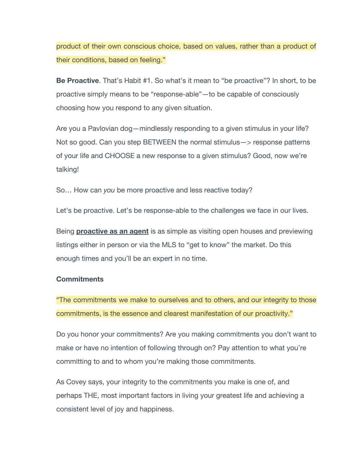product of their own conscious choice, based on values, rather than a product of their conditions, based on feeling."

**Be Proactive**. That's Habit #1. So what's it mean to "be proactive"? In short, to be proactive simply means to be "response-able"—to be capable of consciously choosing how you respond to any given situation.

Are you a Pavlovian dog—mindlessly responding to a given stimulus in your life? Not so good. Can you step BETWEEN the normal stimulus—> response patterns of your life and CHOOSE a new response to a given stimulus? Good, now we're talking!

So… How can *you* be more proactive and less reactive today?

Let's be proactive. Let's be response-able to the challenges we face in our lives.

Being **proactive as an agent** is as simple as visiting open houses and previewing listings either in person or via the MLS to "get to know" the market. Do this enough times and you'll be an expert in no time.

### **Commitments**

"The commitments we make to ourselves and to others, and our integrity to those commitments, is the essence and clearest manifestation of our proactivity."

Do you honor your commitments? Are you making commitments you don't want to make or have no intention of following through on? Pay attention to what you're committing to and to whom you're making those commitments.

As Covey says, your integrity to the commitments you make is one of, and perhaps THE, most important factors in living your greatest life and achieving a consistent level of joy and happiness.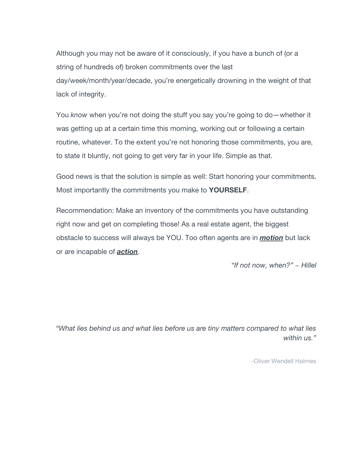Although you may not be aware of it consciously, if you have a bunch of (or a string of hundreds of) broken commitments over the last day/week/month/year/decade, you're energetically drowning in the weight of that lack of integrity.

You *know* when you're not doing the stuff you say you're going to do—whether it was getting up at a certain time this morning, working out or following a certain routine, whatever. To the extent you're not honoring those commitments, you are, to state it bluntly, not going to get very far in your life. Simple as that.

Good news is that the solution is simple as well: Start honoring your commitments. Most importantly the commitments you make to **YOURSELF**.

Recommendation: Make an inventory of the commitments you have outstanding right now and get on completing those! As a real estate agent, the biggest obstacle to success will always be YOU. Too often agents are in *motion* but lack or are incapable of *action*.

*"If not now, when?" ~ Hillel*

*"What lies behind us and what lies before us are tiny matters compared to what lies within us."*

-Oliver Wendell Holmes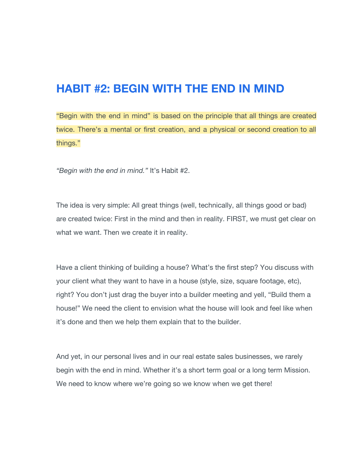### **HABIT #2: BEGIN WITH THE END IN MIND**

"Begin with the end in mind" is based on the principle that all things are created twice. There's a mental or first creation, and a physical or second creation to all things."

*"Begin with the end in mind."* It's Habit #2.

The idea is very simple: All great things (well, technically, all things good or bad) are created twice: First in the mind and then in reality. FIRST, we must get clear on what we want. Then we create it in reality.

Have a client thinking of building a house? What's the first step? You discuss with your client what they want to have in a house (style, size, square footage, etc), right? You don't just drag the buyer into a builder meeting and yell, "Build them a house!" We need the client to envision what the house will look and feel like when it's done and then we help them explain that to the builder.

And yet, in our personal lives and in our real estate sales businesses, we rarely begin with the end in mind. Whether it's a short term goal or a long term Mission. We need to know where we're going so we know when we get there!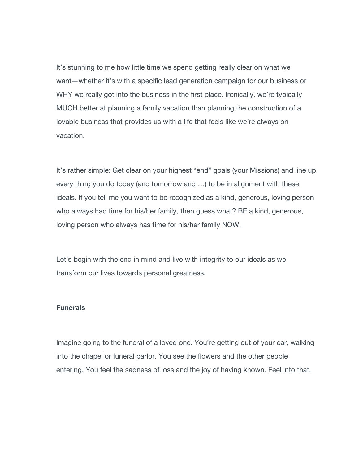It's stunning to me how little time we spend getting really clear on what we want—whether it's with a specific lead generation campaign for our business or WHY we really got into the business in the first place. Ironically, we're typically MUCH better at planning a family vacation than planning the construction of a lovable business that provides us with a life that feels like we're always on vacation.

It's rather simple: Get clear on your highest "end" goals (your Missions) and line up every thing you do today (and tomorrow and …) to be in alignment with these ideals. If you tell me you want to be recognized as a kind, generous, loving person who always had time for his/her family, then guess what? BE a kind, generous, loving person who always has time for his/her family NOW.

Let's begin with the end in mind and live with integrity to our ideals as we transform our lives towards personal greatness.

#### **Funerals**

Imagine going to the funeral of a loved one. You're getting out of your car, walking into the chapel or funeral parlor. You see the flowers and the other people entering. You feel the sadness of loss and the joy of having known. Feel into that.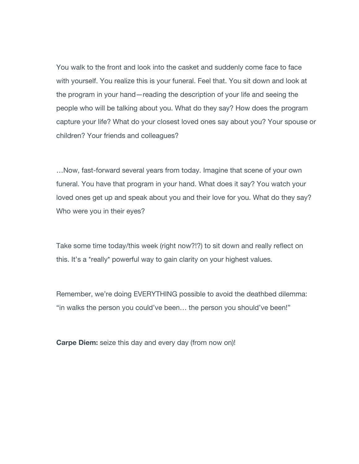You walk to the front and look into the casket and suddenly come face to face with yourself. You realize this is your funeral. Feel that. You sit down and look at the program in your hand—reading the description of your life and seeing the people who will be talking about you. What do they say? How does the program capture your life? What do your closest loved ones say about you? Your spouse or children? Your friends and colleagues?

…Now, fast-forward several years from today. Imagine that scene of your own funeral. You have that program in your hand. What does it say? You watch your loved ones get up and speak about you and their love for you. What do they say? Who were you in their eyes?

Take some time today/this week (right now?!?) to sit down and really reflect on this. It's a \*really\* powerful way to gain clarity on your highest values.

Remember, we're doing EVERYTHING possible to avoid the deathbed dilemma: "in walks the person you could've been… the person you should've been!"

**Carpe Diem:** seize this day and every day (from now on)!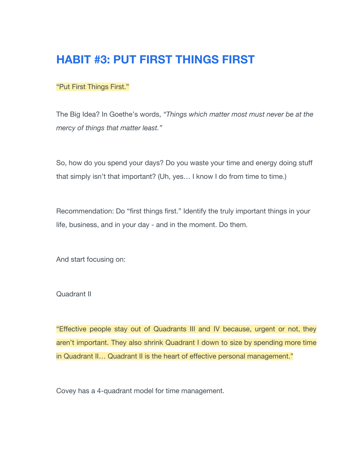# **HABIT #3: PUT FIRST THINGS FIRST**

### "Put First Things First."

The Big Idea? In Goethe's words, *"Things which matter most must never be at the mercy of things that matter least."*

So, how do you spend your days? Do you waste your time and energy doing stuff that simply isn't that important? (Uh, yes… I know I do from time to time.)

Recommendation: Do "first things first." Identify the truly important things in your life, business, and in your day - and in the moment. Do them.

And start focusing on:

Quadrant II

"Effective people stay out of Quadrants III and IV because, urgent or not, they aren't important. They also shrink Quadrant I down to size by spending more time in Quadrant II… Quadrant II is the heart of effective personal management."

Covey has a 4-quadrant model for time management.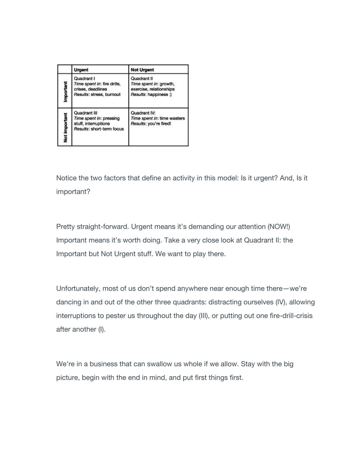|               | Urgent                                                                                       | <b>Not Urgent</b>                                                                         |
|---------------|----------------------------------------------------------------------------------------------|-------------------------------------------------------------------------------------------|
| mportant      | Quadrant I<br>Time spent in: fire drills,<br>crises, deadlines<br>Results: stress, burnout   | Quadrant II<br>Time spent in: growth,<br>exercise, relationships<br>Results: happiness :) |
| Not Important | Quadrant III<br>Time spent in: pressing<br>stuff, interruptions<br>Results: short-term focus | Quadrant IV:<br>Time spent in: time wasters<br>Results: you're fired!                     |

Notice the two factors that define an activity in this model: Is it urgent? And, Is it important?

Pretty straight-forward. Urgent means it's demanding our attention (NOW!) Important means it's worth doing. Take a very close look at Quadrant II: the Important but Not Urgent stuff. We want to play there.

Unfortunately, most of us don't spend anywhere near enough time there—we're dancing in and out of the other three quadrants: distracting ourselves (IV), allowing interruptions to pester us throughout the day (III), or putting out one fire-drill-crisis after another (I).

We're in a business that can swallow us whole if we allow. Stay with the big picture, begin with the end in mind, and put first things first.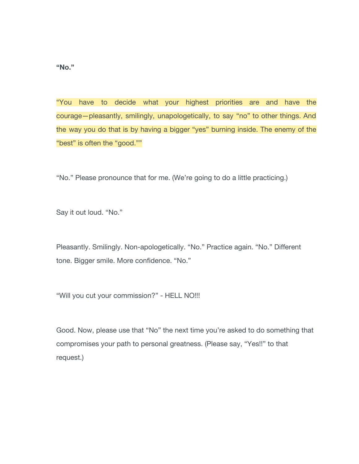**"No."**

"You have to decide what your highest priorities are and have the courage—pleasantly, smilingly, unapologetically, to say "no" to other things. And the way you do that is by having a bigger "yes" burning inside. The enemy of the "best" is often the "good.""

"No." Please pronounce that for me. (We're going to do a little practicing.)

Say it out loud. "No."

Pleasantly. Smilingly. Non-apologetically. "No." Practice again. "No." Different tone. Bigger smile. More confidence. "No."

"Will you cut your commission?" - HELL NO!!!

Good. Now, please use that "No" the next time you're asked to do something that compromises your path to personal greatness. (Please say, "Yes!!" to that request.)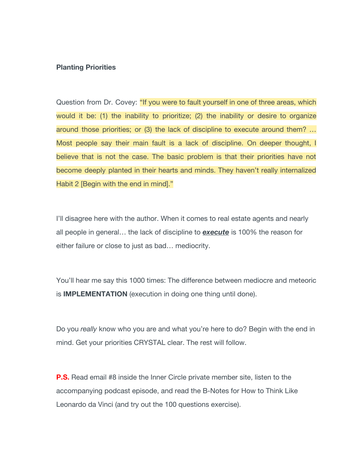#### **Planting Priorities**

Question from Dr. Covey: "If you were to fault yourself in one of three areas, which would it be: (1) the inability to prioritize; (2) the inability or desire to organize around those priorities; or (3) the lack of discipline to execute around them? … Most people say their main fault is a lack of discipline. On deeper thought, I believe that is not the case. The basic problem is that their priorities have not become deeply planted in their hearts and minds. They haven't really internalized Habit 2 [Begin with the end in mind]."

I'll disagree here with the author. When it comes to real estate agents and nearly all people in general… the lack of discipline to *execute* is 100% the reason for either failure or close to just as bad… mediocrity.

You'll hear me say this 1000 times: The difference between mediocre and meteoric is **IMPLEMENTATION** (execution in doing one thing until done).

Do you *really* know who you are and what you're here to do? Begin with the end in mind. Get your priorities CRYSTAL clear. The rest will follow.

**P.S.** Read email #8 inside the Inner Circle private member site, listen to the accompanying podcast episode, and read the B-Notes for How to Think Like Leonardo da Vinci (and try out the 100 questions exercise).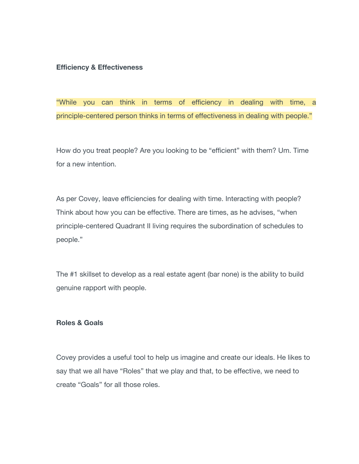#### **Efficiency & Effectiveness**

"While you can think in terms of efficiency in dealing with time, a principle-centered person thinks in terms of effectiveness in dealing with people."

How do you treat people? Are you looking to be "efficient" with them? Um. Time for a new intention.

As per Covey, leave efficiencies for dealing with time. Interacting with people? Think about how you can be effective. There are times, as he advises, "when principle-centered Quadrant II living requires the subordination of schedules to people."

The #1 skillset to develop as a real estate agent (bar none) is the ability to build genuine rapport with people.

### **Roles & Goals**

Covey provides a useful tool to help us imagine and create our ideals. He likes to say that we all have "Roles" that we play and that, to be effective, we need to create "Goals" for all those roles.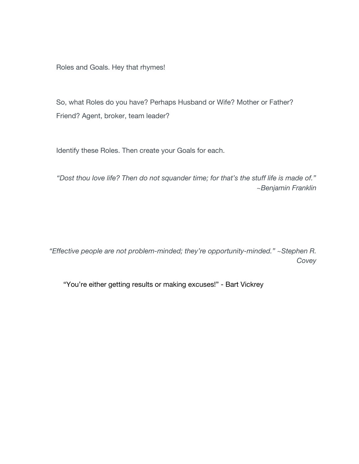Roles and Goals. Hey that rhymes!

So, what Roles do you have? Perhaps Husband or Wife? Mother or Father? Friend? Agent, broker, team leader?

Identify these Roles. Then create your Goals for each.

*"Dost thou love life? Then do not squander time; for that's the stuff life is made of." ~Benjamin Franklin*

*"Effective people are not problem-minded; they're opportunity-minded." ~Stephen R. Covey*

"You're either getting results or making excuses!" - Bart Vickrey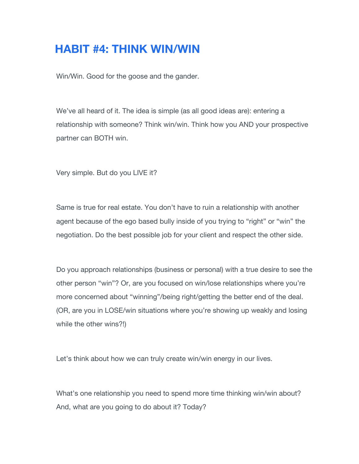# **HABIT #4: THINK WIN/WIN**

Win/Win. Good for the goose and the gander.

We've all heard of it. The idea is simple (as all good ideas are): entering a relationship with someone? Think win/win. Think how you AND your prospective partner can BOTH win.

Very simple. But do you LIVE it?

Same is true for real estate. You don't have to ruin a relationship with another agent because of the ego based bully inside of you trying to "right" or "win" the negotiation. Do the best possible job for your client and respect the other side.

Do you approach relationships (business or personal) with a true desire to see the other person "win"? Or, are you focused on win/lose relationships where you're more concerned about "winning"/being right/getting the better end of the deal. (OR, are you in LOSE/win situations where you're showing up weakly and losing while the other wins?!)

Let's think about how we can truly create win/win energy in our lives.

What's one relationship you need to spend more time thinking win/win about? And, what are you going to do about it? Today?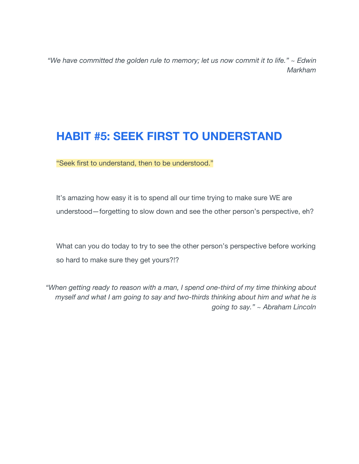*"We have committed the golden rule to memory; let us now commit it to life." ~ Edwin Markham*

# **HABIT #5: SEEK FIRST TO UNDERSTAND**

"Seek first to understand, then to be understood."

It's amazing how easy it is to spend all our time trying to make sure WE are understood*—*forgetting to slow down and see the other person's perspective, eh?

What can you do today to try to see the other person's perspective before working so hard to make sure they get yours?!?

*"When getting ready to reason with a man, I spend one-third of my time thinking about myself and what I am going to say and two-thirds thinking about him and what he is going to say." ~ Abraham Lincoln*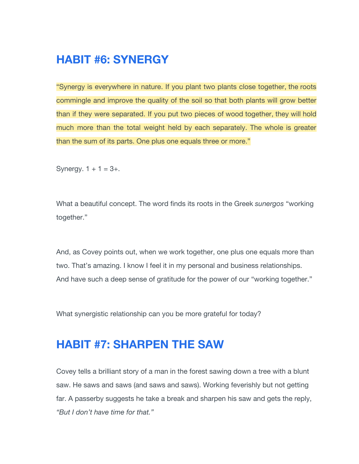# **HABIT #6: SYNERGY**

"Synergy is everywhere in nature. If you plant two plants close together, the roots commingle and improve the quality of the soil so that both plants will grow better than if they were separated. If you put two pieces of wood together, they will hold much more than the total weight held by each separately. The whole is greater than the sum of its parts. One plus one equals three or more."

Synergy.  $1 + 1 = 3 +$ .

What a beautiful concept. The word finds its roots in the Greek *sunergos* "working together."

And, as Covey points out, when we work together, one plus one equals more than two. That's amazing. I know I feel it in my personal and business relationships. And have such a deep sense of gratitude for the power of our "working together."

What synergistic relationship can you be more grateful for today?

## **HABIT #7: SHARPEN THE SAW**

Covey tells a brilliant story of a man in the forest sawing down a tree with a blunt saw. He saws and saws (and saws and saws). Working feverishly but not getting far. A passerby suggests he take a break and sharpen his saw and gets the reply, *"But I don't have time for that."*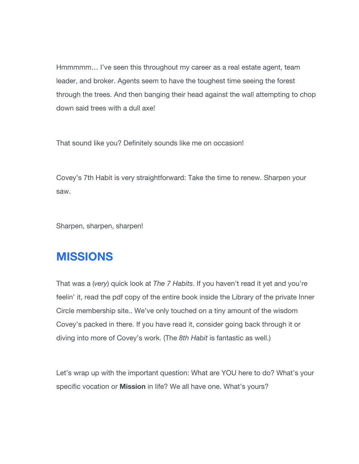Hmmmmm… I've seen this throughout my career as a real estate agent, team leader, and broker. Agents seem to have the toughest time seeing the forest through the trees. And then banging their head against the wall attempting to chop down said trees with a dull axe!

That sound like you? Definitely sounds like me on occasion!

Covey's 7th Habit is very straightforward: Take the time to renew. Sharpen your saw.

Sharpen, sharpen, sharpen!

## **MISSIONS**

That was a (*very*) quick look at *The 7 Habits*. If you haven't read it yet and you're feelin' it, read the pdf copy of the entire book inside the Library of the private Inner Circle membership site.. We've only touched on a tiny amount of the wisdom Covey's packed in there. If you have read it, consider going back through it or diving into more of Covey's work. (The *8th Habit* is fantastic as well.)

Let's wrap up with the important question: What are YOU here to do? What's your specific vocation or **Mission** in life? We all have one. What's yours?